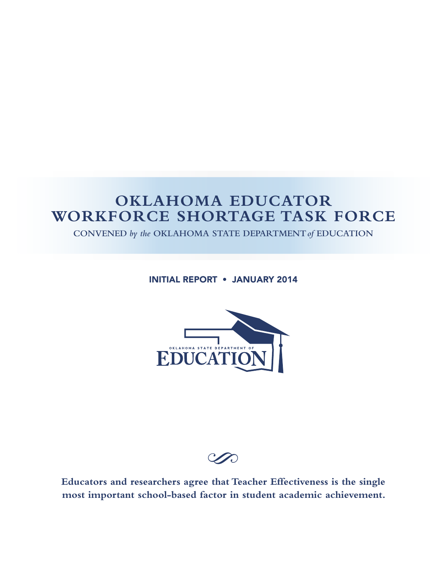# **OKLAHOMA EDUCATOR WORKFORCE SHORTAGE TASK FORCE**

**CONVENED** *by the* **OKLAHOMA STATE DEPARTMENT***of* **EDUCATION**

INITIAL REPORT • JANUARY 2014



S

**Educators and researchers agree that Teacher Effectiveness is the single most important school-based factor in student academic achievement.**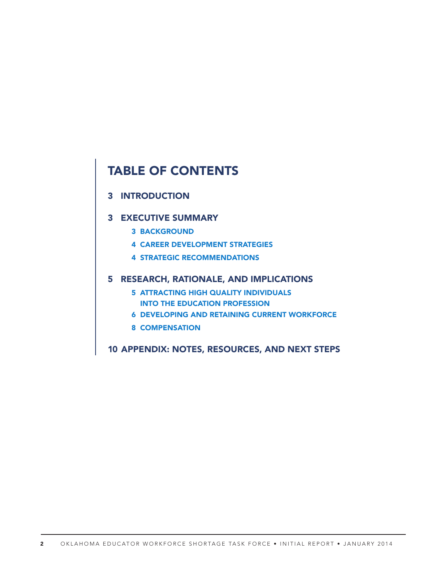## TABLE OF CONTENTS

## 3 INTRODUCTION

#### 3 EXECUTIVE SUMMARY

- 3 BACKGROUND
- 4 CAREER DEVELOPMENT STRATEGIES
- 4 STRATEGIC RECOMMENDATIONS

## 5 RESEARCH, RATIONALE, AND IMPLICATIONS

- 5 ATTRACTING HIGH QUALITY INDIVIDUALS INTO THE EDUCATION PROFESSION
- 6 DEVELOPING AND RETAINING CURRENT WORKFORCE
- 8 COMPENSATION
- 10 APPENDIX: NOTES, RESOURCES, AND NEXT STEPS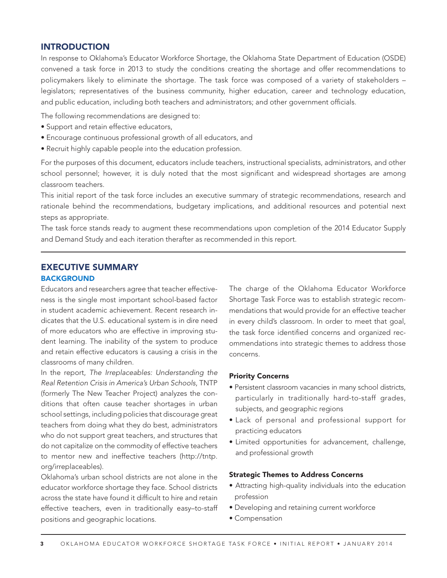#### INTRODUCTION

In response to Oklahoma's Educator Workforce Shortage, the Oklahoma State Department of Education (OSDE) convened a task force in 2013 to study the conditions creating the shortage and offer recommendations to policymakers likely to eliminate the shortage. The task force was composed of a variety of stakeholders – legislators; representatives of the business community, higher education, career and technology education, and public education, including both teachers and administrators; and other government officials.

The following recommendations are designed to:

- Support and retain effective educators,
- Encourage continuous professional growth of all educators, and
- Recruit highly capable people into the education profession.

For the purposes of this document, educators include teachers, instructional specialists, administrators, and other school personnel; however, it is duly noted that the most significant and widespread shortages are among classroom teachers.

This initial report of the task force includes an executive summary of strategic recommendations, research and rationale behind the recommendations, budgetary implications, and additional resources and potential next steps as appropriate.

The task force stands ready to augment these recommendations upon completion of the 2014 Educator Supply and Demand Study and each iteration therafter as recommended in this report.

## EXECUTIVE SUMMARY

#### **BACKGROUND**

Educators and researchers agree that teacher effectiveness is the single most important school-based factor in student academic achievement. Recent research indicates that the U.S. educational system is in dire need of more educators who are effective in improving student learning. The inability of the system to produce and retain effective educators is causing a crisis in the classrooms of many children.

In the report, *The Irreplaceables: Understanding the Real Retention Crisis in America's Urban Schools*, TNTP (formerly The New Teacher Project) analyzes the conditions that often cause teacher shortages in urban school settings, including policies that discourage great teachers from doing what they do best, administrators who do not support great teachers, and structures that do not capitalize on the commodity of effective teachers to mentor new and ineffective teachers (http://tntp. org/irreplaceables).

Oklahoma's urban school districts are not alone in the educator workforce shortage they face. School districts across the state have found it difficult to hire and retain effective teachers, even in traditionally easy–to-staff positions and geographic locations.

The charge of the Oklahoma Educator Workforce Shortage Task Force was to establish strategic recommendations that would provide for an effective teacher in every child's classroom. In order to meet that goal, the task force identified concerns and organized recommendations into strategic themes to address those concerns.

#### Priority Concerns

- Persistent classroom vacancies in many school districts, particularly in traditionally hard-to-staff grades, subjects, and geographic regions
- Lack of personal and professional support for practicing educators
- Limited opportunities for advancement, challenge, and professional growth

#### Strategic Themes to Address Concerns

- Attracting high-quality individuals into the education profession
- Developing and retaining current workforce
- Compensation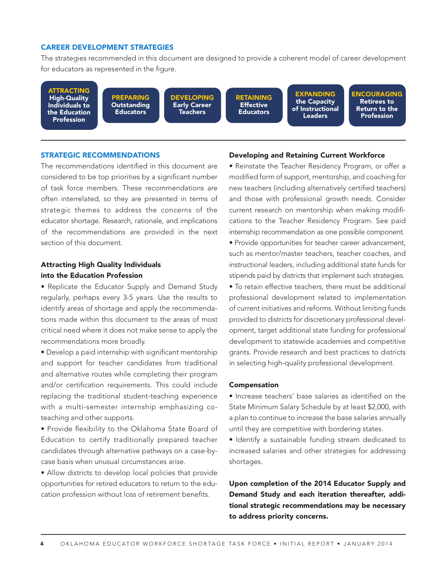#### CAREER DEVELOPMENT STRATEGIES

The strategies recommended in this document are designed to provide a coherent model of career development for educators as represented in the figure.

ATTRACTING High-Quality Individuals to the Education Profession

PREPARING **Outstanding Educators** 

DEVELOPING Early Career **Teachers** 

RETAINING **Effective Educators** 

EXPANDING the Capacity of Instructional **Leaders** 

**ENCOURAGING** Retirees to Return to the Profession

#### STRATEGIC RECOMMENDATIONS

The recommendations identified in this document are considered to be top priorities by a significant number of task force members. These recommendations are often interrelated, so they are presented in terms of strategic themes to address the concerns of the educator shortage. Research, rationale, and implications of the recommendations are provided in the next section of this document.

#### Attracting High Quality Individuals into the Education Profession

• Replicate the Educator Supply and Demand Study regularly, perhaps every 3-5 years. Use the results to identify areas of shortage and apply the recommendations made within this document to the areas of most critical need where it does not make sense to apply the recommendations more broadly.

• Develop a paid internship with significant mentorship and support for teacher candidates from traditional and alternative routes while completing their program and/or certification requirements. This could include replacing the traditional student-teaching experience with a multi-semester internship emphasizing coteaching and other supports.

• Provide flexibility to the Oklahoma State Board of Education to certify traditionally prepared teacher candidates through alternative pathways on a case-bycase basis when unusual circumstances arise.

• Allow districts to develop local policies that provide opportunities for retired educators to return to the education profession without loss of retirement benefits.

#### Developing and Retaining Current Workforce

• Reinstate the Teacher Residency Program, or offer a modified form of support, mentorship, and coaching for new teachers (including alternatively certified teachers) and those with professional growth needs. Consider current research on mentorship when making modifications to the Teacher Residency Program. See paid internship recommendation as one possible component.

• Provide opportunities for teacher career advancement, such as mentor/master teachers, teacher coaches, and instructional leaders, including additional state funds for stipends paid by districts that implement such strategies.

• To retain effective teachers, there must be additional professional development related to implementation of current initiatives and reforms. Without limiting funds provided to districts for discretionary professional development, target additional state funding for professional development to statewide academies and competitive grants. Provide research and best practices to districts in selecting high-quality professional development.

#### Compensation

• Increase teachers' base salaries as identified on the State Minimum Salary Schedule by at least \$2,000, with a plan to continue to increase the base salaries annually until they are competitive with bordering states.

• Identify a sustainable funding stream dedicated to increased salaries and other strategies for addressing shortages.

Upon completion of the 2014 Educator Supply and Demand Study and each iteration thereafter, additional strategic recommendations may be necessary to address priority concerns.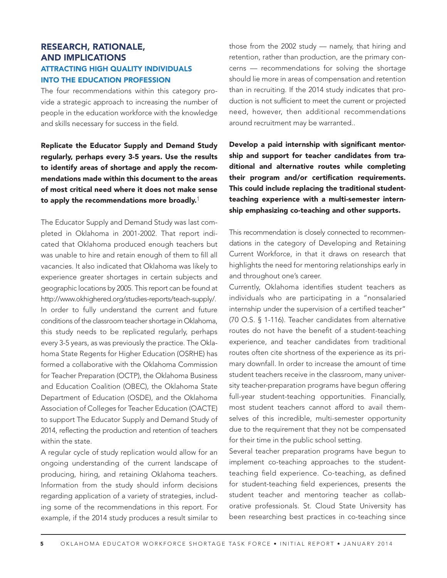## RESEARCH, RATIONALE, AND IMPLICATIONS ATTRACTING HIGH QUALITY INDIVIDUALS INTO THE EDUCATION PROFESSION

The four recommendations within this category provide a strategic approach to increasing the number of people in the education workforce with the knowledge and skills necessary for success in the field.

Replicate the Educator Supply and Demand Study regularly, perhaps every 3-5 years. Use the results to identify areas of shortage and apply the recommendations made within this document to the areas of most critical need where it does not make sense to apply the recommendations more broadly.<sup>1</sup>

The Educator Supply and Demand Study was last completed in Oklahoma in 2001-2002. That report indicated that Oklahoma produced enough teachers but was unable to hire and retain enough of them to fill all vacancies. It also indicated that Oklahoma was likely to experience greater shortages in certain subjects and geographic locations by 2005. This report can be found at http://www.okhighered.org/studies-reports/teach-supply/. In order to fully understand the current and future conditions of the classroom teacher shortage in Oklahoma, this study needs to be replicated regularly, perhaps every 3-5 years, as was previously the practice. The Oklahoma State Regents for Higher Education (OSRHE) has formed a collaborative with the Oklahoma Commission for Teacher Preparation (OCTP), the Oklahoma Business and Education Coalition (OBEC), the Oklahoma State Department of Education (OSDE), and the Oklahoma Association of Colleges for Teacher Education (OACTE) to support The Educator Supply and Demand Study of 2014, reflecting the production and retention of teachers within the state.

A regular cycle of study replication would allow for an ongoing understanding of the current landscape of producing, hiring, and retaining Oklahoma teachers. Information from the study should inform decisions regarding application of a variety of strategies, including some of the recommendations in this report. For example, if the 2014 study produces a result similar to those from the 2002 study — namely, that hiring and retention, rather than production, are the primary concerns — recommendations for solving the shortage should lie more in areas of compensation and retention than in recruiting. If the 2014 study indicates that production is not sufficient to meet the current or projected need, however, then additional recommendations around recruitment may be warranted..

Develop a paid internship with significant mentorship and support for teacher candidates from traditional and alternative routes while completing their program and/or certification requirements. This could include replacing the traditional studentteaching experience with a multi-semester internship emphasizing co-teaching and other supports.

This recommendation is closely connected to recommendations in the category of Developing and Retaining Current Workforce, in that it draws on research that highlights the need for mentoring relationships early in and throughout one's career.

Currently, Oklahoma identifies student teachers as individuals who are participating in a "nonsalaried internship under the supervision of a certified teacher" (70 O.S. § 1-116). Teacher candidates from alternative routes do not have the benefit of a student-teaching experience, and teacher candidates from traditional routes often cite shortness of the experience as its primary downfall. In order to increase the amount of time student teachers receive in the classroom, many university teacher-preparation programs have begun offering full-year student-teaching opportunities. Financially, most student teachers cannot afford to avail themselves of this incredible, multi-semester opportunity due to the requirement that they not be compensated for their time in the public school setting.

Several teacher preparation programs have begun to implement co-teaching approaches to the studentteaching field experience. Co-teaching, as defined for student-teaching field experiences, presents the student teacher and mentoring teacher as collaborative professionals. St. Cloud State University has been researching best practices in co-teaching since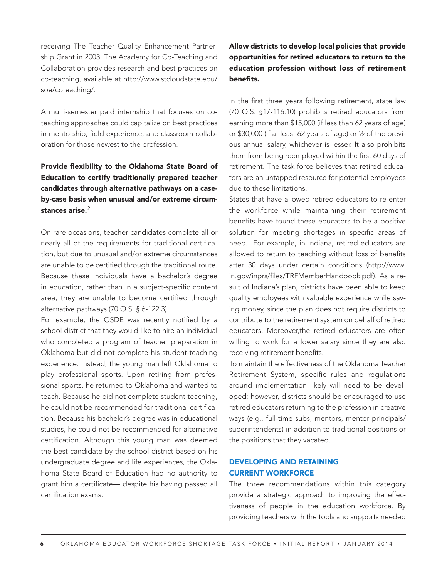receiving The Teacher Quality Enhancement Partnership Grant in 2003. The Academy for Co-Teaching and Collaboration provides research and best practices on co-teaching, available at http://www.stcloudstate.edu/ soe/coteaching/.

A multi-semester paid internship that focuses on coteaching approaches could capitalize on best practices in mentorship, field experience, and classroom collaboration for those newest to the profession.

## Provide flexibility to the Oklahoma State Board of Education to certify traditionally prepared teacher candidates through alternative pathways on a caseby-case basis when unusual and/or extreme circumstances arise.<sup>2</sup>

On rare occasions, teacher candidates complete all or nearly all of the requirements for traditional certification, but due to unusual and/or extreme circumstances are unable to be certified through the traditional route. Because these individuals have a bachelor's degree in education, rather than in a subject-specific content area, they are unable to become certified through alternative pathways (70 O.S. § 6-122.3).

For example, the OSDE was recently notified by a school district that they would like to hire an individual who completed a program of teacher preparation in Oklahoma but did not complete his student-teaching experience. Instead, the young man left Oklahoma to play professional sports. Upon retiring from professional sports, he returned to Oklahoma and wanted to teach. Because he did not complete student teaching, he could not be recommended for traditional certification. Because his bachelor's degree was in educational studies, he could not be recommended for alternative certification. Although this young man was deemed the best candidate by the school district based on his undergraduate degree and life experiences, the Oklahoma State Board of Education had no authority to grant him a certificate— despite his having passed all certification exams.

## Allow districts to develop local policies that provide opportunities for retired educators to return to the education profession without loss of retirement benefits.

In the first three years following retirement, state law (70 O.S. §17-116.10) prohibits retired educators from earning more than \$15,000 (if less than 62 years of age) or \$30,000 (if at least 62 years of age) or ½ of the previous annual salary, whichever is lesser. It also prohibits them from being reemployed within the first 60 days of retirement. The task force believes that retired educators are an untapped resource for potential employees due to these limitations.

States that have allowed retired educators to re-enter the workforce while maintaining their retirement benefits have found these educators to be a positive solution for meeting shortages in specific areas of need. For example, in Indiana, retired educators are allowed to return to teaching without loss of benefits after 30 days under certain conditions (http://www. in.gov/inprs/files/TRFMemberHandbook.pdf). As a result of Indiana's plan, districts have been able to keep quality employees with valuable experience while saving money, since the plan does not require districts to contribute to the retirement system on behalf of retired educators. Moreover,the retired educators are often willing to work for a lower salary since they are also receiving retirement benefits.

To maintain the effectiveness of the Oklahoma Teacher Retirement System, specific rules and regulations around implementation likely will need to be developed; however, districts should be encouraged to use retired educators returning to the profession in creative ways (e.g., full-time subs, mentors, mentor principals/ superintendents) in addition to traditional positions or the positions that they vacated.

#### DEVELOPING AND RETAINING CURRENT WORKFORCE

The three recommendations within this category provide a strategic approach to improving the effectiveness of people in the education workforce. By providing teachers with the tools and supports needed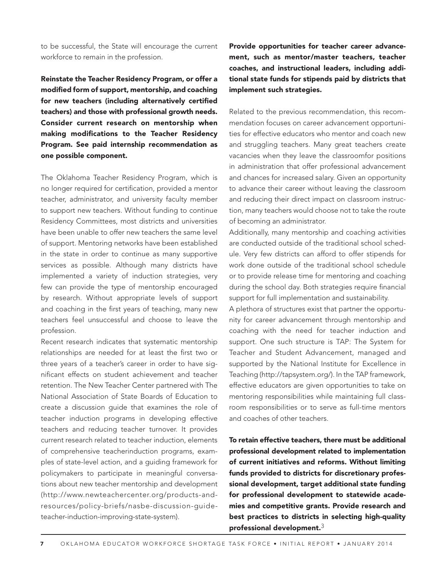to be successful, the State will encourage the current workforce to remain in the profession.

Reinstate the Teacher Residency Program, or offer a modified form of support, mentorship, and coaching for new teachers (including alternatively certified teachers) and those with professional growth needs. Consider current research on mentorship when making modifications to the Teacher Residency Program. See paid internship recommendation as one possible component.

The Oklahoma Teacher Residency Program, which is no longer required for certification, provided a mentor teacher, administrator, and university faculty member to support new teachers. Without funding to continue Residency Committees, most districts and universities have been unable to offer new teachers the same level of support. Mentoring networks have been established in the state in order to continue as many supportive services as possible. Although many districts have implemented a variety of induction strategies, very few can provide the type of mentorship encouraged by research. Without appropriate levels of support and coaching in the first years of teaching, many new teachers feel unsuccessful and choose to leave the profession.

Recent research indicates that systematic mentorship relationships are needed for at least the first two or three years of a teacher's career in order to have significant effects on student achievement and teacher retention. The New Teacher Center partnered with The National Association of State Boards of Education to create a discussion guide that examines the role of teacher induction programs in developing effective teachers and reducing teacher turnover. It provides current research related to teacher induction, elements of comprehensive teacherinduction programs, examples of state-level action, and a guiding framework for policymakers to participate in meaningful conversations about new teacher mentorship and development (http://www.newteachercenter.org/products-andresources/policy-briefs/nasbe-discussion-guideteacher-induction-improving-state-system).

Provide opportunities for teacher career advancement, such as mentor/master teachers, teacher coaches, and instructional leaders, including additional state funds for stipends paid by districts that implement such strategies.

Related to the previous recommendation, this recommendation focuses on career advancement opportunities for effective educators who mentor and coach new and struggling teachers. Many great teachers create vacancies when they leave the classroomfor positions in administration that offer professional advancement and chances for increased salary. Given an opportunity to advance their career without leaving the classroom and reducing their direct impact on classroom instruction, many teachers would choose not to take the route of becoming an administrator.

Additionally, many mentorship and coaching activities are conducted outside of the traditional school schedule. Very few districts can afford to offer stipends for work done outside of the traditional school schedule or to provide release time for mentoring and coaching during the school day. Both strategies require financial support for full implementation and sustainability.

A plethora of structures exist that partner the opportunity for career advancement through mentorship and coaching with the need for teacher induction and support. One such structure is TAP: The System for Teacher and Student Advancement, managed and supported by the National Institute for Excellence in Teaching (http://tapsystem.org/). In the TAP framework, effective educators are given opportunities to take on mentoring responsibilities while maintaining full classroom responsibilities or to serve as full-time mentors and coaches of other teachers.

To retain effective teachers, there must be additional professional development related to implementation of current initiatives and reforms. Without limiting funds provided to districts for discretionary professional development, target additional state funding for professional development to statewide academies and competitive grants. Provide research and best practices to districts in selecting high-quality professional development. $3$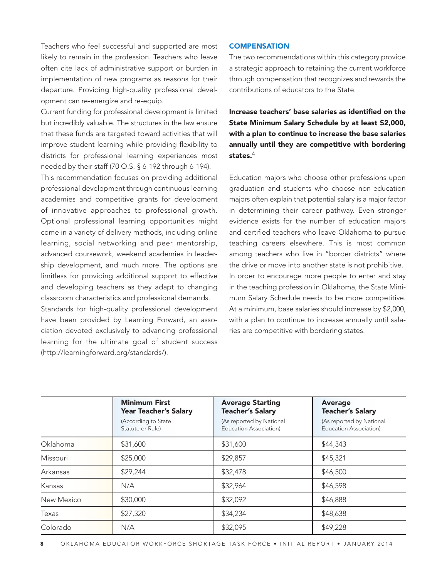Teachers who feel successful and supported are most likely to remain in the profession. Teachers who leave often cite lack of administrative support or burden in implementation of new programs as reasons for their departure. Providing high-quality professional development can re-energize and re-equip.

Current funding for professional development is limited but incredibly valuable. The structures in the law ensure that these funds are targeted toward activities that will improve student learning while providing flexibility to districts for professional learning experiences most needed by their staff (70 O.S. § 6-192 through 6-194). This recommendation focuses on providing additional

professional development through continuous learning academies and competitive grants for development of innovative approaches to professional growth. Optional professional learning opportunities might come in a variety of delivery methods, including online learning, social networking and peer mentorship, advanced coursework, weekend academies in leadership development, and much more. The options are limitless for providing additional support to effective and developing teachers as they adapt to changing classroom characteristics and professional demands.

Standards for high-quality professional development have been provided by Learning Forward, an association devoted exclusively to advancing professional learning for the ultimate goal of student success (http://learningforward.org/standards/).

#### **COMPENSATION**

The two recommendations within this category provide a strategic approach to retaining the current workforce through compensation that recognizes and rewards the contributions of educators to the State.

Increase teachers' base salaries as identified on the State Minimum Salary Schedule by at least \$2,000, with a plan to continue to increase the base salaries annually until they are competitive with bordering states. $\rm ^4$ 

Education majors who choose other professions upon graduation and students who choose non-education majors often explain that potential salary is a major factor in determining their career pathway. Even stronger evidence exists for the number of education majors and certified teachers who leave Oklahoma to pursue teaching careers elsewhere. This is most common among teachers who live in "border districts" where the drive or move into another state is not prohibitive. In order to encourage more people to enter and stay in the teaching profession in Oklahoma, the State Minimum Salary Schedule needs to be more competitive. At a minimum, base salaries should increase by \$2,000, with a plan to continue to increase annually until salaries are competitive with bordering states.

|            | <b>Minimum First</b><br><b>Year Teacher's Salary</b> | <b>Average Starting</b><br><b>Teacher's Salary</b> | Average<br><b>Teacher's Salary</b>                 |  |
|------------|------------------------------------------------------|----------------------------------------------------|----------------------------------------------------|--|
|            | (According to State<br>Statute or Rule)              | (As reported by National<br>Education Association) | (As reported by National<br>Education Association) |  |
| Oklahoma   | \$31,600                                             | \$31,600                                           | \$44,343                                           |  |
| Missouri   | \$25,000                                             | \$29,857                                           | \$45,321                                           |  |
| Arkansas   | \$29,244                                             | \$32,478                                           | \$46,500                                           |  |
| Kansas     | N/A                                                  | \$32,964                                           | \$46,598                                           |  |
| New Mexico | \$30,000                                             | \$32,092                                           | \$46,888                                           |  |
| Texas      | \$27,320                                             | \$34,234                                           | \$48,638                                           |  |
| Colorado   | N/A                                                  | \$32,095                                           | \$49,228                                           |  |

8 OKLAHOMA EDUCATOR WORKFORCE SHORTAGE TASK FORCE • INITIAL REPORT • JANUARY 2014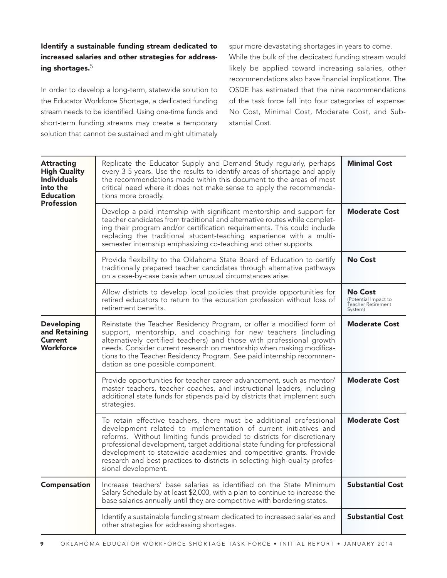### Identify a sustainable funding stream dedicated to increased salaries and other strategies for addressing shortages.<sup>5</sup>

In order to develop a long-term, statewide solution to the Educator Workforce Shortage, a dedicated funding stream needs to be identified. Using one-time funds and short-term funding streams may create a temporary solution that cannot be sustained and might ultimately

spur more devastating shortages in years to come. While the bulk of the dedicated funding stream would likely be applied toward increasing salaries, other recommendations also have financial implications. The OSDE has estimated that the nine recommendations of the task force fall into four categories of expense: No Cost, Minimal Cost, Moderate Cost, and Substantial Cost.

| <b>Attracting</b><br><b>High Quality</b><br><b>Individuals</b><br>into the<br><b>Education</b><br><b>Profession</b> | Replicate the Educator Supply and Demand Study regularly, perhaps<br>every 3-5 years. Use the results to identify areas of shortage and apply<br>the recommendations made within this document to the areas of most<br>critical need where it does not make sense to apply the recommenda-<br>tions more broadly.                                                                                                                                                           | <b>Minimal Cost</b>                                                     |
|---------------------------------------------------------------------------------------------------------------------|-----------------------------------------------------------------------------------------------------------------------------------------------------------------------------------------------------------------------------------------------------------------------------------------------------------------------------------------------------------------------------------------------------------------------------------------------------------------------------|-------------------------------------------------------------------------|
|                                                                                                                     | Develop a paid internship with significant mentorship and support for<br>teacher candidates from traditional and alternative routes while complet-<br>ing their program and/or certification requirements. This could include<br>replacing the traditional student-teaching experience with a multi-<br>semester internship emphasizing co-teaching and other supports.                                                                                                     | <b>Moderate Cost</b>                                                    |
|                                                                                                                     | Provide flexibility to the Oklahoma State Board of Education to certify<br>traditionally prepared teacher candidates through alternative pathways<br>on a case-by-case basis when unusual circumstances arise.                                                                                                                                                                                                                                                              | <b>No Cost</b>                                                          |
|                                                                                                                     | Allow districts to develop local policies that provide opportunities for<br>retired educators to return to the education profession without loss of<br>retirement benefits.                                                                                                                                                                                                                                                                                                 | <b>No Cost</b><br>(Potential Impact to<br>Teacher Retirement<br>System) |
| <b>Developing</b><br>and Retaining<br><b>Current</b><br><b>Workforce</b>                                            | Reinstate the Teacher Residency Program, or offer a modified form of<br>support, mentorship, and coaching for new teachers (including<br>alternatively certified teachers) and those with professional growth<br>needs. Consider current research on mentorship when making modifica-<br>tions to the Teacher Residency Program. See paid internship recommen-<br>dation as one possible component.                                                                         | <b>Moderate Cost</b>                                                    |
|                                                                                                                     | Provide opportunities for teacher career advancement, such as mentor/<br>master teachers, teacher coaches, and instructional leaders, including<br>additional state funds for stipends paid by districts that implement such<br>strategies.                                                                                                                                                                                                                                 | <b>Moderate Cost</b>                                                    |
|                                                                                                                     | To retain effective teachers, there must be additional professional<br>development related to implementation of current initiatives and<br>reforms. Without limiting funds provided to districts for discretionary<br>professional development, target additional state funding for professional<br>development to statewide academies and competitive grants. Provide<br>research and best practices to districts in selecting high-quality profes-<br>sional development. | <b>Moderate Cost</b>                                                    |
| <b>Compensation</b>                                                                                                 | Increase teachers' base salaries as identified on the State Minimum<br>Salary Schedule by at least \$2,000, with a plan to continue to increase the<br>base salaries annually until they are competitive with bordering states.                                                                                                                                                                                                                                             | <b>Substantial Cost</b>                                                 |
|                                                                                                                     | Identify a sustainable funding stream dedicated to increased salaries and<br>other strategies for addressing shortages.                                                                                                                                                                                                                                                                                                                                                     | <b>Substantial Cost</b>                                                 |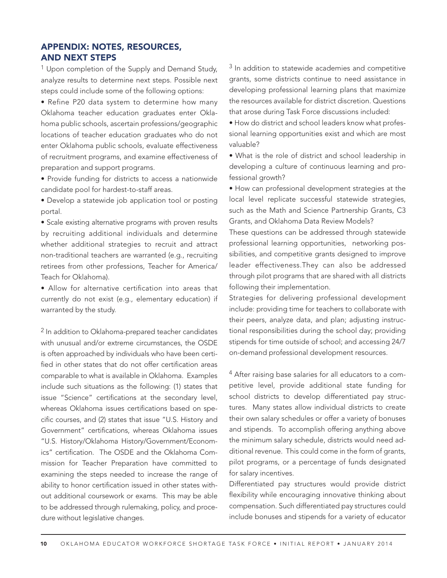## APPENDIX: NOTES, RESOURCES, AND NEXT STEPS

<sup>1</sup> Upon completion of the Supply and Demand Study, analyze results to determine next steps. Possible next steps could include some of the following options:

• Refine P20 data system to determine how many Oklahoma teacher education graduates enter Oklahoma public schools, ascertain professions/geographic locations of teacher education graduates who do not enter Oklahoma public schools, evaluate effectiveness of recruitment programs, and examine effectiveness of preparation and support programs.

• Provide funding for districts to access a nationwide candidate pool for hardest-to-staff areas.

• Develop a statewide job application tool or posting portal.

• Scale existing alternative programs with proven results by recruiting additional individuals and determine whether additional strategies to recruit and attract non-traditional teachers are warranted (e.g., recruiting retirees from other professions, Teacher for America/ Teach for Oklahoma).

• Allow for alternative certification into areas that currently do not exist (e.g., elementary education) if warranted by the study.

2 In addition to Oklahoma-prepared teacher candidates with unusual and/or extreme circumstances, the OSDE is often approached by individuals who have been certified in other states that do not offer certification areas comparable to what is available in Oklahoma. Examples include such situations as the following: (1) states that issue "Science" certifications at the secondary level, whereas Oklahoma issues certifications based on specific courses, and (2) states that issue "U.S. History and Government" certifications, whereas Oklahoma issues "U.S. History/Oklahoma History/Government/Economics" certification. The OSDE and the Oklahoma Commission for Teacher Preparation have committed to examining the steps needed to increase the range of ability to honor certification issued in other states without additional coursework or exams. This may be able to be addressed through rulemaking, policy, and procedure without legislative changes.

<sup>3</sup> In addition to statewide academies and competitive grants, some districts continue to need assistance in developing professional learning plans that maximize the resources available for district discretion. Questions that arose during Task Force discussions included:

• How do district and school leaders know what professional learning opportunities exist and which are most valuable?

• What is the role of district and school leadership in developing a culture of continuous learning and professional growth?

• How can professional development strategies at the local level replicate successful statewide strategies, such as the Math and Science Partnership Grants, C3 Grants, and Oklahoma Data Review Models?

These questions can be addressed through statewide professional learning opportunities, networking possibilities, and competitive grants designed to improve leader effectiveness.They can also be addressed through pilot programs that are shared with all districts following their implementation.

Strategies for delivering professional development include: providing time for teachers to collaborate with their peers, analyze data, and plan; adjusting instructional responsibilities during the school day; providing stipends for time outside of school; and accessing 24/7 on-demand professional development resources.

4 After raising base salaries for all educators to a competitive level, provide additional state funding for school districts to develop differentiated pay structures. Many states allow individual districts to create their own salary schedules or offer a variety of bonuses and stipends. To accomplish offering anything above the minimum salary schedule, districts would need additional revenue. This could come in the form of grants, pilot programs, or a percentage of funds designated for salary incentives.

Differentiated pay structures would provide district flexibility while encouraging innovative thinking about compensation. Such differentiated pay structures could include bonuses and stipends for a variety of educator